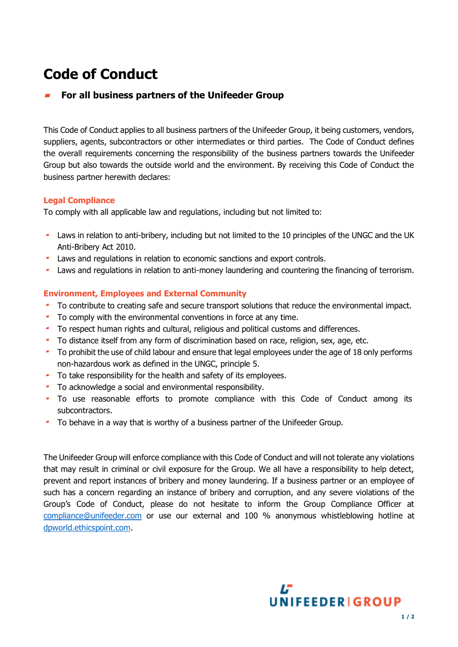# **Code of Conduct**

## **For all business partners of the Unifeeder Group**

This Code of Conduct applies to all business partners of the Unifeeder Group, it being customers, vendors, suppliers, agents, subcontractors or other intermediates or third parties. The Code of Conduct defines the overall requirements concerning the responsibility of the business partners towards the Unifeeder Group but also towards the outside world and the environment. By receiving this Code of Conduct the business partner herewith declares:

## **Legal Compliance**

To comply with all applicable law and regulations, including but not limited to:

- Laws in relation to anti-bribery, including but not limited to the 10 principles of the UNGC and the UK Anti-Bribery Act 2010.
- Laws and regulations in relation to economic sanctions and export controls.
- Laws and regulations in relation to anti-money laundering and countering the financing of terrorism.

### **Environment, Employees and External Community**

- To contribute to creating safe and secure transport solutions that reduce the environmental impact.
- To comply with the environmental conventions in force at any time.
- To respect human rights and cultural, religious and political customs and differences.
- To distance itself from any form of discrimination based on race, religion, sex, age, etc.
- To prohibit the use of child labour and ensure that legal employees under the age of 18 only performs non-hazardous work as defined in the UNGC, principle 5.
- To take responsibility for the health and safety of its employees.
- To acknowledge a social and environmental responsibility.
- To use reasonable efforts to promote compliance with this Code of Conduct among its subcontractors.
- To behave in a way that is worthy of a business partner of the Unifeeder Group.

The Unifeeder Group will enforce compliance with this Code of Conduct and will not tolerate any violations that may result in criminal or civil exposure for the Group. We all have a responsibility to help detect, prevent and report instances of bribery and money laundering. If a business partner or an employee of such has a concern regarding an instance of bribery and corruption, and any severe violations of the Group's Code of Conduct, please do not hesitate to inform the Group Compliance Officer at [compliance@unifeeder.com](mailto:compliance@unifeeder.com) or use our external and 100 % anonymous whistleblowing hotline at [dpworld.ethicspoint.com.](https://dpworld.ethicspoint.com/)